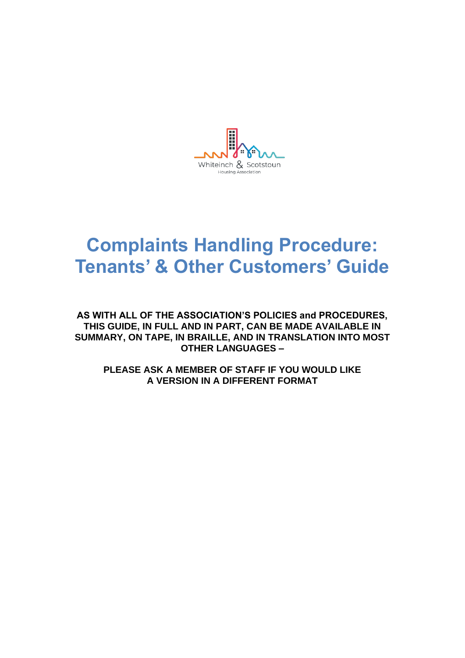Whiteinch & Scotstoun Housing Association

# **Complaints Handling Procedure: Tenants' & Other Customers' Guide**

**AS WITH ALL OF THE ASSOCIATION'S POLICIES and PROCEDURES, THIS GUIDE, IN FULL AND IN PART, CAN BE MADE AVAILABLE IN SUMMARY, ON TAPE, IN BRAILLE, AND IN TRANSLATION INTO MOST OTHER LANGUAGES –**

**PLEASE ASK A MEMBER OF STAFF IF YOU WOULD LIKE A VERSION IN A DIFFERENT FORMAT**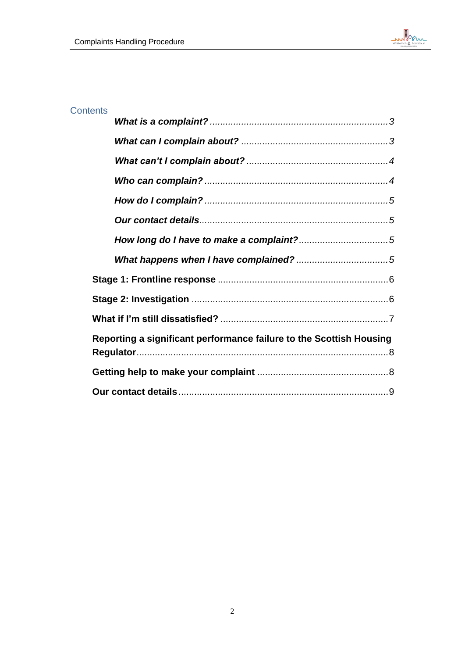

# **Contents**

| Reporting a significant performance failure to the Scottish Housing |  |
|---------------------------------------------------------------------|--|
|                                                                     |  |
|                                                                     |  |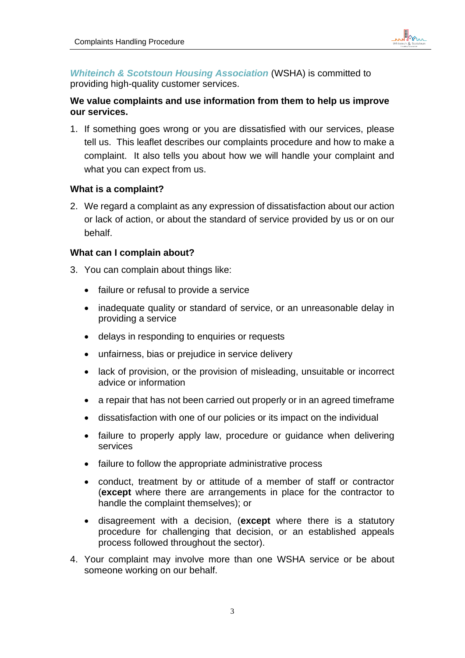

*Whiteinch & Scotstoun Housing Association* (WSHA) is committed to providing high-quality customer services.

# **We value complaints and use information from them to help us improve our services.**

1. If something goes wrong or you are dissatisfied with our services, please tell us. This leaflet describes our complaints procedure and how to make a complaint. It also tells you about how we will handle your complaint and what you can expect from us.

## <span id="page-2-0"></span>**What is a complaint?**

2. We regard a complaint as any expression of dissatisfaction about our action or lack of action, or about the standard of service provided by us or on our behalf.

## <span id="page-2-1"></span>**What can I complain about?**

- 3. You can complain about things like:
	- failure or refusal to provide a service
	- inadequate quality or standard of service, or an unreasonable delay in providing a service
	- delays in responding to enquiries or requests
	- unfairness, bias or prejudice in service delivery
	- lack of provision, or the provision of misleading, unsuitable or incorrect advice or information
	- a repair that has not been carried out properly or in an agreed timeframe
	- dissatisfaction with one of our policies or its impact on the individual
	- failure to properly apply law, procedure or guidance when delivering services
	- failure to follow the appropriate administrative process
	- conduct, treatment by or attitude of a member of staff or contractor (**except** where there are arrangements in place for the contractor to handle the complaint themselves); or
	- disagreement with a decision, (**except** where there is a statutory procedure for challenging that decision, or an established appeals process followed throughout the sector).
- 4. Your complaint may involve more than one WSHA service or be about someone working on our behalf.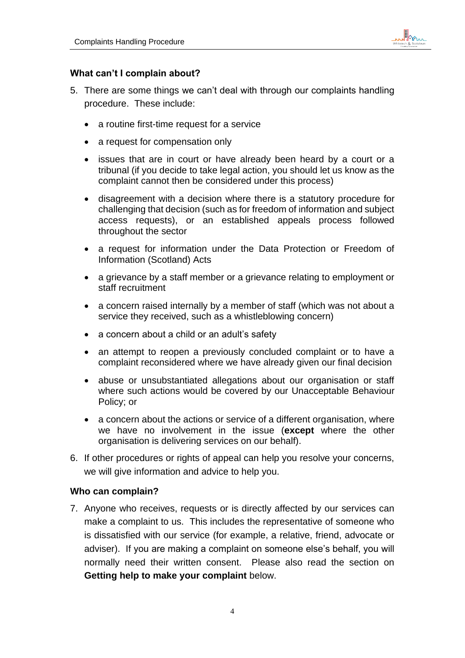

#### <span id="page-3-0"></span>**What can't I complain about?**

- 5. There are some things we can't deal with through our complaints handling procedure. These include:
	- a routine first-time request for a service
	- a request for compensation only
	- issues that are in court or have already been heard by a court or a tribunal (if you decide to take legal action, you should let us know as the complaint cannot then be considered under this process)
	- disagreement with a decision where there is a statutory procedure for challenging that decision (such as for freedom of information and subject access requests), or an established appeals process followed throughout the sector
	- a request for information under the Data Protection or Freedom of Information (Scotland) Acts
	- a grievance by a staff member or a grievance relating to employment or staff recruitment
	- a concern raised internally by a member of staff (which was not about a service they received, such as a whistleblowing concern)
	- a concern about a child or an adult's safety
	- an attempt to reopen a previously concluded complaint or to have a complaint reconsidered where we have already given our final decision
	- abuse or unsubstantiated allegations about our organisation or staff where such actions would be covered by our Unacceptable Behaviour Policy; or
	- a concern about the actions or service of a different organisation, where we have no involvement in the issue (**except** where the other organisation is delivering services on our behalf).
- 6. If other procedures or rights of appeal can help you resolve your concerns, we will give information and advice to help you.

#### <span id="page-3-1"></span>**Who can complain?**

7. Anyone who receives, requests or is directly affected by our services can make a complaint to us. This includes the representative of someone who is dissatisfied with our service (for example, a relative, friend, advocate or adviser). If you are making a complaint on someone else's behalf, you will normally need their written consent. Please also read the section on **Getting help to make your complaint** below.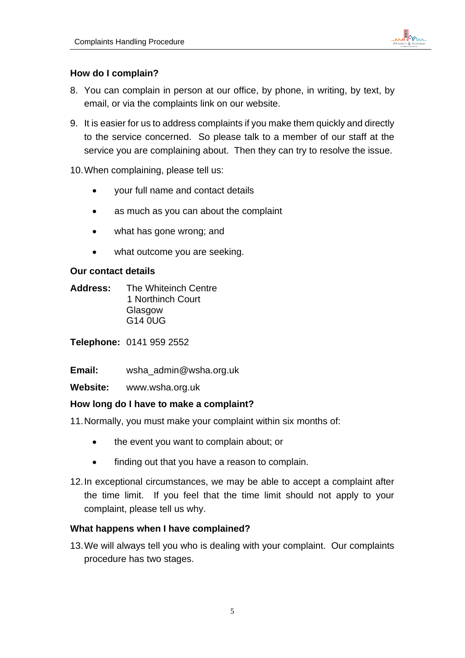

# <span id="page-4-0"></span>**How do I complain?**

- 8. You can complain in person at our office, by phone, in writing, by text, by email, or via the complaints link on our website.
- 9. It is easier for us to address complaints if you make them quickly and directly to the service concerned. So please talk to a member of our staff at the service you are complaining about. Then they can try to resolve the issue.

10.When complaining, please tell us:

- your full name and contact details
- as much as you can about the complaint
- what has gone wrong; and
- what outcome you are seeking.

## <span id="page-4-1"></span>**Our contact details**

<span id="page-4-2"></span>**Address:** The Whiteinch Centre 1 Northinch Court Glasgow G14 0UG

**Telephone:** 0141 959 2552

**Email:** wsha\_admin@wsha.org.uk

**Website:** www.wsha.org.uk

## **How long do I have to make a complaint?**

11.Normally, you must make your complaint within six months of:

- the event you want to complain about; or
- finding out that you have a reason to complain.
- 12.In exceptional circumstances, we may be able to accept a complaint after the time limit. If you feel that the time limit should not apply to your complaint, please tell us why.

## <span id="page-4-3"></span>**What happens when I have complained?**

13.We will always tell you who is dealing with your complaint. Our complaints procedure has two stages.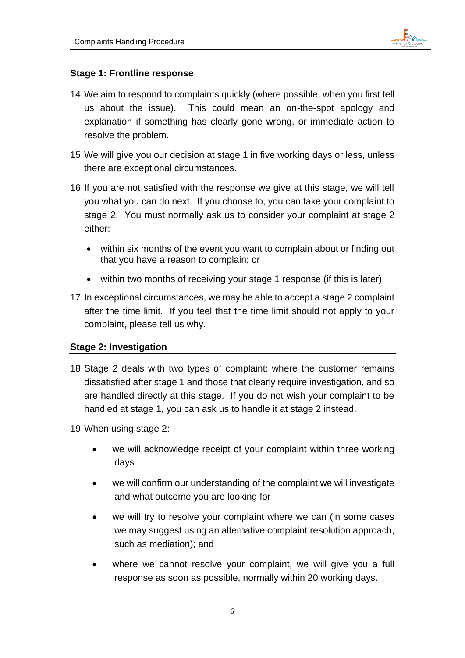

## <span id="page-5-0"></span>**Stage 1: Frontline response**

- 14.We aim to respond to complaints quickly (where possible, when you first tell us about the issue). This could mean an on-the-spot apology and explanation if something has clearly gone wrong, or immediate action to resolve the problem.
- 15.We will give you our decision at stage 1 in five working days or less, unless there are exceptional circumstances.
- 16.If you are not satisfied with the response we give at this stage, we will tell you what you can do next. If you choose to, you can take your complaint to stage 2. You must normally ask us to consider your complaint at stage 2 either:
	- within six months of the event you want to complain about or finding out that you have a reason to complain; or
	- within two months of receiving your stage 1 response (if this is later).
- 17.In exceptional circumstances, we may be able to accept a stage 2 complaint after the time limit. If you feel that the time limit should not apply to your complaint, please tell us why.

## <span id="page-5-1"></span>**Stage 2: Investigation**

- 18.Stage 2 deals with two types of complaint: where the customer remains dissatisfied after stage 1 and those that clearly require investigation, and so are handled directly at this stage. If you do not wish your complaint to be handled at stage 1, you can ask us to handle it at stage 2 instead.
- 19.When using stage 2:
	- we will acknowledge receipt of your complaint within three working days
	- we will confirm our understanding of the complaint we will investigate and what outcome you are looking for
	- we will try to resolve your complaint where we can (in some cases we may suggest using an alternative complaint resolution approach, such as mediation); and
	- where we cannot resolve your complaint, we will give you a full response as soon as possible, normally within 20 working days.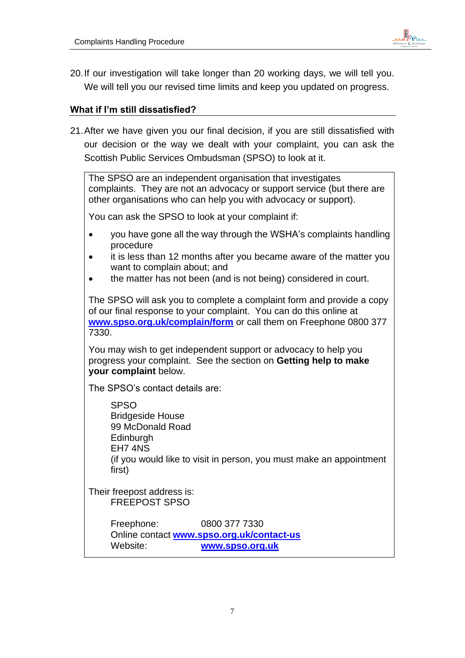

20.If our investigation will take longer than 20 working days, we will tell you. We will tell you our revised time limits and keep you updated on progress.

## <span id="page-6-0"></span>**What if I'm still dissatisfied?**

21.After we have given you our final decision, if you are still dissatisfied with our decision or the way we dealt with your complaint, you can ask the Scottish Public Services Ombudsman (SPSO) to look at it.

The SPSO are an independent organisation that investigates complaints. They are not an advocacy or support service (but there are other organisations who can help you with advocacy or support).

You can ask the SPSO to look at your complaint if:

- you have gone all the way through the WSHA's complaints handling procedure
- it is less than 12 months after you became aware of the matter you want to complain about; and
- the matter has not been (and is not being) considered in court.

The SPSO will ask you to complete a complaint form and provide a copy of our final response to your complaint. You can do this online at **[www.spso.org.uk/complain/form](http://www.spso.org.uk/complain/form)** or call them on Freephone 0800 377 7330.

You may wish to get independent support or advocacy to help you progress your complaint. See the section on **Getting help to make your complaint** below.

The SPSO's contact details are:

SPSO Bridgeside House 99 McDonald Road **Edinburgh** EH7 4NS (if you would like to visit in person, you must make an appointment first)

Their freepost address is: FREEPOST SPSO

> Freephone: 0800 377 7330 Online contact **[www.spso.org.uk/contact-us](http://www.spso.org.uk/contact-us)** Website: **[www.spso.org.uk](http://www.spso.org.uk/)**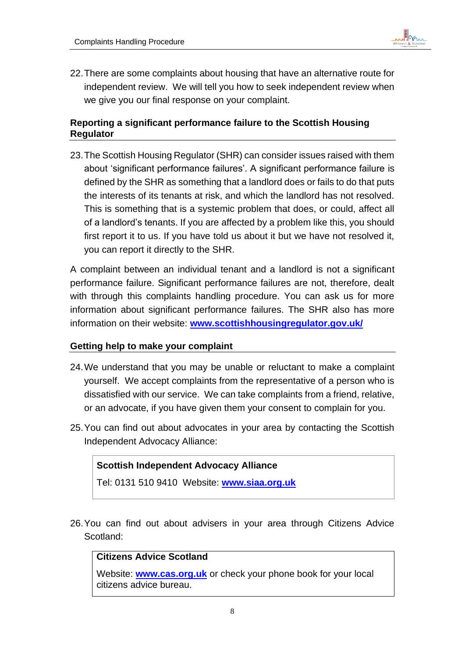

22.There are some complaints about housing that have an alternative route for independent review. We will tell you how to seek independent review when we give you our final response on your complaint.

# <span id="page-7-0"></span>**Reporting a significant performance failure to the Scottish Housing Regulator**

23.The Scottish Housing Regulator (SHR) can consider issues raised with them about 'significant performance failures'. A significant performance failure is defined by the SHR as something that a landlord does or fails to do that puts the interests of its tenants at risk, and which the landlord has not resolved. This is something that is a systemic problem that does, or could, affect all of a landlord's tenants. If you are affected by a problem like this, you should first report it to us. If you have told us about it but we have not resolved it, you can report it directly to the SHR.

A complaint between an individual tenant and a landlord is not a significant performance failure. Significant performance failures are not, therefore, dealt with through this complaints handling procedure. You can ask us for more information about significant performance failures. The SHR also has more information on their website: **[www.scottishhousingregulator.gov.uk/](file:///C:/Users/imorrison/Downloads/www.scottishhousingregulator.gov.uk/)**

## <span id="page-7-1"></span>**Getting help to make your complaint**

- 24.We understand that you may be unable or reluctant to make a complaint yourself. We accept complaints from the representative of a person who is dissatisfied with our service. We can take complaints from a friend, relative, or an advocate, if you have given them your consent to complain for you.
- 25.You can find out about advocates in your area by contacting the Scottish Independent Advocacy Alliance:

## **Scottish Independent Advocacy Alliance**

Tel: 0131 510 9410 Website: **[www.siaa.org.uk](file:///C:/Users/imorrison/Downloads/www.siaa.org.uk)**

26.You can find out about advisers in your area through Citizens Advice Scotland:

## **Citizens Advice Scotland**

Website: **[www.cas.org.uk](file:///C:/Users/imorrison/Downloads/www.cas.org.uk)** or check your phone book for your local citizens advice bureau.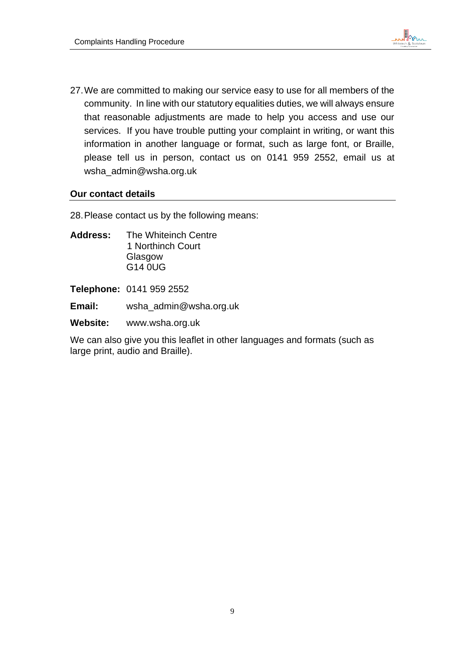

27.We are committed to making our service easy to use for all members of the community. In line with our statutory equalities duties, we will always ensure that reasonable adjustments are made to help you access and use our services. If you have trouble putting your complaint in writing, or want this information in another language or format, such as large font, or Braille, please tell us in person, contact us on 0141 959 2552, email us at wsha\_admin@wsha.org.uk

#### <span id="page-8-0"></span>**Our contact details**

28.Please contact us by the following means:

**Address:** The Whiteinch Centre 1 Northinch Court Glasgow G14 0UG

**Telephone:** 0141 959 2552

**Email:** wsha\_admin@wsha.org.uk

**Website:** www.wsha.org.uk

We can also give you this leaflet in other languages and formats (such as large print, audio and Braille).